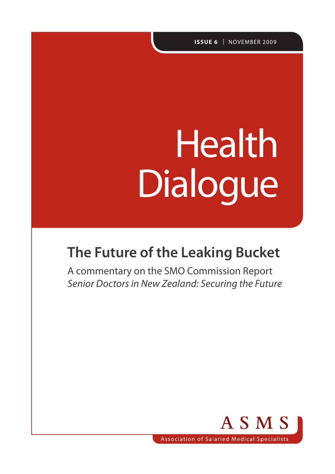**ISSUE 6** | NOVEMBER 2009

# Health Dialogue

# **The Future of the Leaking Bucket**

A commentary on the SMO Commission Report *Senior Doctors in New Zealand: Securing the Future*

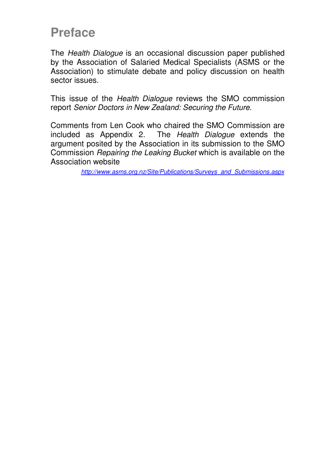### **Preface**

The Health Dialogue is an occasional discussion paper published by the Association of Salaried Medical Specialists (ASMS or the Association) to stimulate debate and policy discussion on health sector issues.

This issue of the *Health Dialogue* reviews the SMO commission report Senior Doctors in New Zealand: Securing the Future.

Comments from Len Cook who chaired the SMO Commission are included as Appendix 2. The Health Dialogue extends the argument posited by the Association in its submission to the SMO Commission Repairing the Leaking Bucket which is available on the Association website

http://www.asms.org.nz/Site/Publications/Surveys\_and\_Submissions.aspx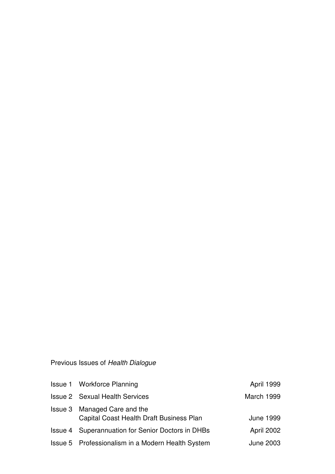### Previous Issues of Health Dialogue

| <b>Issue 1 Workforce Planning</b>                                        | April 1999       |
|--------------------------------------------------------------------------|------------------|
| <b>Issue 2 Sexual Health Services</b>                                    | March 1999       |
| Issue 3 Managed Care and the<br>Capital Coast Health Draft Business Plan | <b>June 1999</b> |
| <b>Issue 4 Superannuation for Senior Doctors in DHBs</b>                 | April 2002       |
| Issue 5 Professionalism in a Modern Health System                        | June 2003        |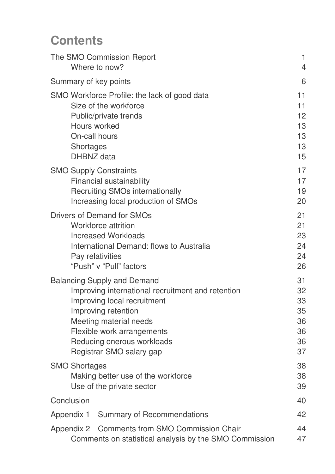# **Contents**

| The SMO Commission Report<br>Where to now?                      |                                                                                                                                                                                                                                                                 | $\mathbf{1}$<br>$\overline{4}$               |
|-----------------------------------------------------------------|-----------------------------------------------------------------------------------------------------------------------------------------------------------------------------------------------------------------------------------------------------------------|----------------------------------------------|
| Summary of key points                                           |                                                                                                                                                                                                                                                                 | 6                                            |
| Hours worked<br>On-call hours<br><b>Shortages</b><br>DHBNZ data | SMO Workforce Profile: the lack of good data<br>Size of the workforce<br>Public/private trends                                                                                                                                                                  | 11<br>11<br>12<br>13<br>13<br>13<br>15       |
| <b>SMO Supply Constraints</b>                                   | <b>Financial sustainability</b><br><b>Recruiting SMOs internationally</b><br>Increasing local production of SMOs                                                                                                                                                | 17<br>17<br>19<br>20                         |
|                                                                 | <b>Drivers of Demand for SMOs</b><br>Workforce attrition<br><b>Increased Workloads</b><br>International Demand: flows to Australia<br>Pay relativities<br>"Push" v "Pull" factors                                                                               | 21<br>21<br>23<br>24<br>24<br>26             |
|                                                                 | <b>Balancing Supply and Demand</b><br>Improving international recruitment and retention<br>Improving local recruitment<br>Improving retention<br>Meeting material needs<br>Flexible work arrangements<br>Reducing onerous workloads<br>Registrar-SMO salary gap | 31<br>32<br>33<br>35<br>36<br>36<br>36<br>37 |
| <b>SMO Shortages</b>                                            | Making better use of the workforce<br>Use of the private sector                                                                                                                                                                                                 | 38<br>38<br>39                               |
| Conclusion                                                      |                                                                                                                                                                                                                                                                 | 40                                           |
|                                                                 | Appendix 1 Summary of Recommendations                                                                                                                                                                                                                           | 42                                           |
|                                                                 | Appendix 2 Comments from SMO Commission Chair<br>Comments on statistical analysis by the SMO Commission                                                                                                                                                         | 44<br>47                                     |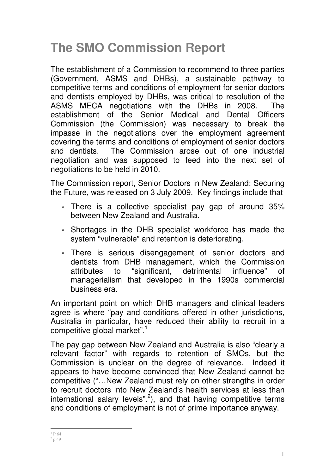# **The SMO Commission Report**

The establishment of a Commission to recommend to three parties (Government, ASMS and DHBs), a sustainable pathway to competitive terms and conditions of employment for senior doctors and dentists employed by DHBs, was critical to resolution of the ASMS MECA negotiations with the DHBs in 2008. The establishment of the Senior Medical and Dental Officers Commission (the Commission) was necessary to break the impasse in the negotiations over the employment agreement covering the terms and conditions of employment of senior doctors and dentists. The Commission arose out of one industrial negotiation and was supposed to feed into the next set of negotiations to be held in 2010.

The Commission report, Senior Doctors in New Zealand: Securing the Future, was released on 3 July 2009. Key findings include that

- There is a collective specialist pay gap of around 35% between New Zealand and Australia.
- Shortages in the DHB specialist workforce has made the system "vulnerable" and retention is deteriorating.
- There is serious disengagement of senior doctors and dentists from DHB management, which the Commission attributes to "significant, detrimental influence" of managerialism that developed in the 1990s commercial business era.

An important point on which DHB managers and clinical leaders agree is where "pay and conditions offered in other jurisdictions, Australia in particular, have reduced their ability to recruit in a competitive global market".<sup>1</sup>

The pay gap between New Zealand and Australia is also "clearly a relevant factor" with regards to retention of SMOs, but the Commission is unclear on the degree of relevance. Indeed it appears to have become convinced that New Zealand cannot be competitive ("…New Zealand must rely on other strengths in order to recruit doctors into New Zealand's health services at less than international salary levels".<sup>2</sup>), and that having competitive terms and conditions of employment is not of prime importance anyway.

 $\frac{1}{1}P64$  $^{2}$  p 49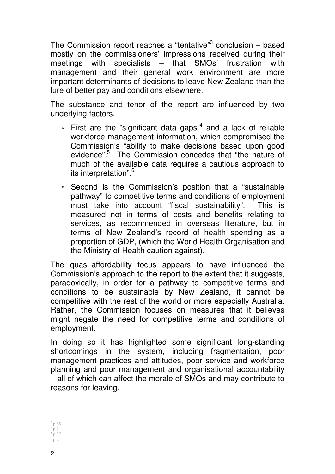The Commission report reaches a "tentative"<sup>3</sup> conclusion - based mostly on the commissioners' impressions received during their meetings with specialists – that SMOs' frustration with management and their general work environment are more important determinants of decisions to leave New Zealand than the lure of better pay and conditions elsewhere.

The substance and tenor of the report are influenced by two underlying factors.

- First are the "significant data gaps"<sup>4</sup> and a lack of reliable workforce management information, which compromised the Commission's "ability to make decisions based upon good evidence".<sup>5</sup> The Commission concedes that "the nature of much of the available data requires a cautious approach to its interpretation".<sup>6</sup>
- Second is the Commission's position that a "sustainable pathway" to competitive terms and conditions of employment must take into account "fiscal sustainability". This is measured not in terms of costs and benefits relating to services, as recommended in overseas literature, but in terms of New Zealand's record of health spending as a proportion of GDP, (which the World Health Organisation and the Ministry of Health caution against).

The quasi-affordability focus appears to have influenced the Commission's approach to the report to the extent that it suggests, paradoxically, in order for a pathway to competitive terms and conditions to be sustainable by New Zealand, it cannot be competitive with the rest of the world or more especially Australia. Rather, the Commission focuses on measures that it believes might negate the need for competitive terms and conditions of employment.

In doing so it has highlighted some significant long-standing shortcomings in the system, including fragmentation, poor management practices and attitudes, poor service and workforce planning and poor management and organisational accountability – all of which can affect the morale of SMOs and may contribute to reasons for leaving.

 $\overline{a}$ 3 p 65 4 p 2 p 27 6

p 2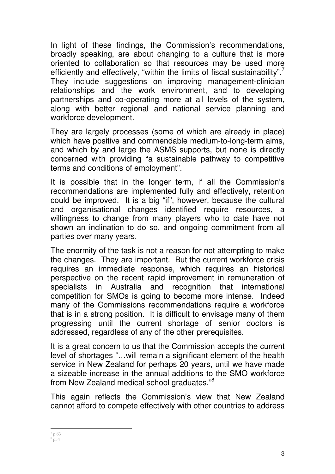In light of these findings, the Commission's recommendations, broadly speaking, are about changing to a culture that is more oriented to collaboration so that resources may be used more efficiently and effectively, "within the limits of fiscal sustainability".<sup>7</sup> They include suggestions on improving management-clinician relationships and the work environment, and to developing partnerships and co-operating more at all levels of the system, along with better regional and national service planning and workforce development.

They are largely processes (some of which are already in place) which have positive and commendable medium-to-long-term aims, and which by and large the ASMS supports, but none is directly concerned with providing "a sustainable pathway to competitive terms and conditions of employment".

It is possible that in the longer term, if all the Commission's recommendations are implemented fully and effectively, retention could be improved. It is a big "if", however, because the cultural and organisational changes identified require resources, a willingness to change from many players who to date have not shown an inclination to do so, and ongoing commitment from all parties over many years.

The enormity of the task is not a reason for not attempting to make the changes. They are important. But the current workforce crisis requires an immediate response, which requires an historical perspective on the recent rapid improvement in remuneration of specialists in Australia and recognition that international competition for SMOs is going to become more intense. Indeed many of the Commissions recommendations require a workforce that is in a strong position. It is difficult to envisage many of them progressing until the current shortage of senior doctors is addressed, regardless of any of the other prerequisites.

It is a great concern to us that the Commission accepts the current level of shortages "…will remain a significant element of the health service in New Zealand for perhaps 20 years, until we have made a sizeable increase in the annual additions to the SMO workforce from New Zealand medical school graduates."<sup>8</sup>

This again reflects the Commission's view that New Zealand cannot afford to compete effectively with other countries to address

 $\overline{a}$  $7$  p 63  $8^{8}$  p54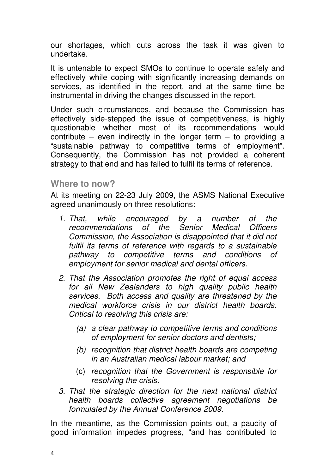our shortages, which cuts across the task it was given to undertake.

It is untenable to expect SMOs to continue to operate safely and effectively while coping with significantly increasing demands on services, as identified in the report, and at the same time be instrumental in driving the changes discussed in the report.

Under such circumstances, and because the Commission has effectively side-stepped the issue of competitiveness, is highly questionable whether most of its recommendations would contribute – even indirectly in the longer term – to providing a "sustainable pathway to competitive terms of employment". Consequently, the Commission has not provided a coherent strategy to that end and has failed to fulfil its terms of reference.

#### **Where to now?**

At its meeting on 22-23 July 2009, the ASMS National Executive agreed unanimously on three resolutions:

- 1. That, while encouraged by a number of the recommendations of the Senior Medical Officers Commission, the Association is disappointed that it did not fulfil its terms of reference with regards to a sustainable pathway to competitive terms and conditions of employment for senior medical and dental officers.
- 2. That the Association promotes the right of equal access for all New Zealanders to high quality public health services. Both access and quality are threatened by the medical workforce crisis in our district health boards. Critical to resolving this crisis are:
	- (a) a clear pathway to competitive terms and conditions of employment for senior doctors and dentists;
	- (b) recognition that district health boards are competing in an Australian medical labour market; and
	- (c) recognition that the Government is responsible for resolving the crisis.
- 3. That the strategic direction for the next national district health boards collective agreement negotiations be formulated by the Annual Conference 2009.

In the meantime, as the Commission points out, a paucity of good information impedes progress, "and has contributed to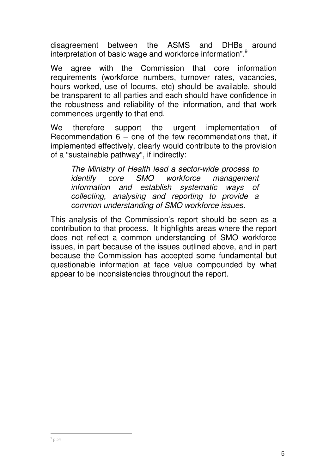disagreement between the ASMS and DHBs around interpretation of basic wage and workforce information".<sup>9</sup>

We agree with the Commission that core information requirements (workforce numbers, turnover rates, vacancies, hours worked, use of locums, etc) should be available, should be transparent to all parties and each should have confidence in the robustness and reliability of the information, and that work commences urgently to that end.

We therefore support the urgent implementation of Recommendation 6 – one of the few recommendations that, if implemented effectively, clearly would contribute to the provision of a "sustainable pathway", if indirectly:

The Ministry of Health lead a sector-wide process to identify core SMO workforce management information and establish systematic ways of collecting, analysing and reporting to provide a common understanding of SMO workforce issues.

This analysis of the Commission's report should be seen as a contribution to that process. It highlights areas where the report does not reflect a common understanding of SMO workforce issues, in part because of the issues outlined above, and in part because the Commission has accepted some fundamental but questionable information at face value compounded by what appear to be inconsistencies throughout the report.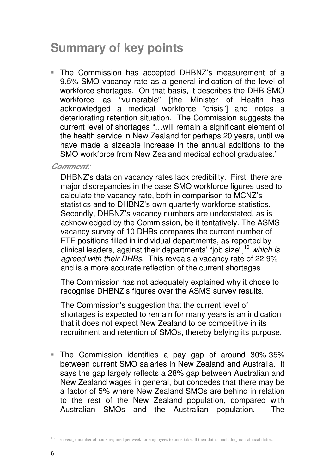## **Summary of key points**

 The Commission has accepted DHBNZ's measurement of a 9.5% SMO vacancy rate as a general indication of the level of workforce shortages. On that basis, it describes the DHB SMO workforce as "vulnerable" [the Minister of Health has acknowledged a medical workforce "crisis"] and notes a deteriorating retention situation. The Commission suggests the current level of shortages "…will remain a significant element of the health service in New Zealand for perhaps 20 years, until we have made a sizeable increase in the annual additions to the SMO workforce from New Zealand medical school graduates."

**Comment:** 

DHBNZ's data on vacancy rates lack credibility. First, there are major discrepancies in the base SMO workforce figures used to calculate the vacancy rate, both in comparison to MCNZ's statistics and to DHBNZ's own quarterly workforce statistics. Secondly, DHBNZ's vacancy numbers are understated, as is acknowledged by the Commission, be it tentatively. The ASMS vacancy survey of 10 DHBs compares the current number of FTE positions filled in individual departments, as reported by clinical leaders, against their departments' "job size",  $10$  which is agreed with their DHBs. This reveals a vacancy rate of 22.9% and is a more accurate reflection of the current shortages.

The Commission has not adequately explained why it chose to recognise DHBNZ's figures over the ASMS survey results.

The Commission's suggestion that the current level of shortages is expected to remain for many years is an indication that it does not expect New Zealand to be competitive in its recruitment and retention of SMOs, thereby belying its purpose.

 The Commission identifies a pay gap of around 30%-35% between current SMO salaries in New Zealand and Australia. It says the gap largely reflects a 28% gap between Australian and New Zealand wages in general, but concedes that there may be a factor of 5% where New Zealand SMOs are behind in relation to the rest of the New Zealand population, compared with Australian SMOs and the Australian population. The

 $\ddot{\phantom{a}}$ <sup>10</sup> The average number of hours required per week for employees to undertake all their duties, including non-clinical duties.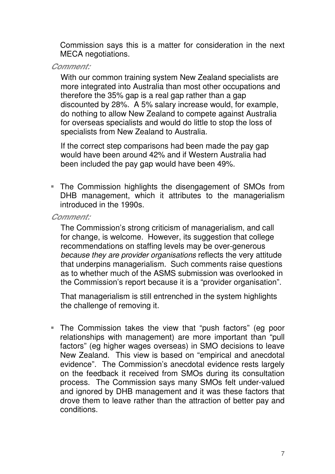Commission says this is a matter for consideration in the next MECA negotiations.

**Comment:** 

With our common training system New Zealand specialists are more integrated into Australia than most other occupations and therefore the 35% gap is a real gap rather than a gap discounted by 28%. A 5% salary increase would, for example, do nothing to allow New Zealand to compete against Australia for overseas specialists and would do little to stop the loss of specialists from New Zealand to Australia.

If the correct step comparisons had been made the pay gap would have been around 42% and if Western Australia had been included the pay gap would have been 49%.

 The Commission highlights the disengagement of SMOs from DHB management, which it attributes to the managerialism introduced in the 1990s.

#### **Comment:**

The Commission's strong criticism of managerialism, and call for change, is welcome. However, its suggestion that college recommendations on staffing levels may be over-generous because they are provider organisations reflects the very attitude that underpins managerialism. Such comments raise questions as to whether much of the ASMS submission was overlooked in the Commission's report because it is a "provider organisation".

That managerialism is still entrenched in the system highlights the challenge of removing it.

 The Commission takes the view that "push factors" (eg poor relationships with management) are more important than "pull factors" (eg higher wages overseas) in SMO decisions to leave New Zealand. This view is based on "empirical and anecdotal evidence". The Commission's anecdotal evidence rests largely on the feedback it received from SMOs during its consultation process. The Commission says many SMOs felt under-valued and ignored by DHB management and it was these factors that drove them to leave rather than the attraction of better pay and conditions.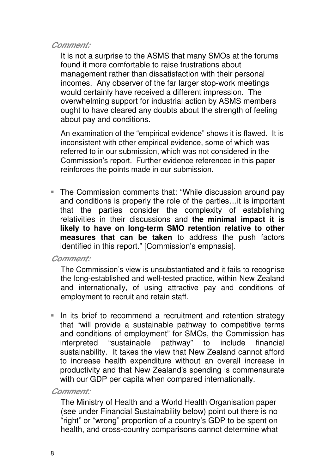#### **Comment:**

It is not a surprise to the ASMS that many SMOs at the forums found it more comfortable to raise frustrations about management rather than dissatisfaction with their personal incomes. Any observer of the far larger stop-work meetings would certainly have received a different impression. The overwhelming support for industrial action by ASMS members ought to have cleared any doubts about the strength of feeling about pay and conditions.

An examination of the "empirical evidence" shows it is flawed. It is inconsistent with other empirical evidence, some of which was referred to in our submission, which was not considered in the Commission's report. Further evidence referenced in this paper reinforces the points made in our submission.

■ The Commission comments that: "While discussion around pay and conditions is properly the role of the parties…it is important that the parties consider the complexity of establishing relativities in their discussions and **the minimal impact it is likely to have on long-term SMO retention relative to other measures that can be taken** to address the push factors identified in this report." [Commission's emphasis].

#### **Comment:**

The Commission's view is unsubstantiated and it fails to recognise the long-established and well-tested practice, within New Zealand and internationally, of using attractive pay and conditions of employment to recruit and retain staff.

In its brief to recommend a recruitment and retention strategy that "will provide a sustainable pathway to competitive terms and conditions of employment" for SMOs, the Commission has interpreted "sustainable pathway" to include financial sustainability. It takes the view that New Zealand cannot afford to increase health expenditure without an overall increase in productivity and that New Zealand's spending is commensurate with our GDP per capita when compared internationally.

#### **Comment:**

The Ministry of Health and a World Health Organisation paper (see under Financial Sustainability below) point out there is no "right" or "wrong" proportion of a country's GDP to be spent on health, and cross-country comparisons cannot determine what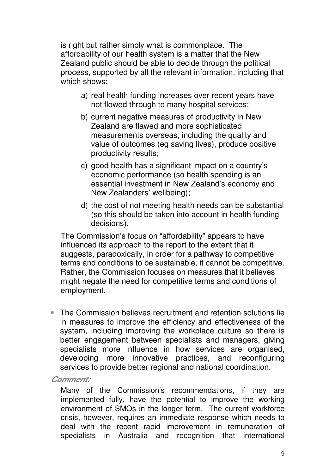is right but rather simply what is commonplace. The affordability of our health system is a matter that the New Zealand public should be able to decide through the political process, supported by all the relevant information, including that which shows:

- a) real health funding increases over recent years have not flowed through to many hospital services;
- b) current negative measures of productivity in New Zealand are flawed and more sophisticated measurements overseas, including the quality and value of outcomes (eg saving lives), produce positive productivity results;
- c) good health has a significant impact on a country's economic performance (so health spending is an essential investment in New Zealand's economy and New Zealanders' wellbeing);
- d) the cost of not meeting health needs can be substantial (so this should be taken into account in health funding decisions).

The Commission's focus on "affordability" appears to have influenced its approach to the report to the extent that it suggests, paradoxically, in order for a pathway to competitive terms and conditions to be sustainable, it cannot be competitive. Rather, the Commission focuses on measures that it believes might negate the need for competitive terms and conditions of employment.

 The Commission believes recruitment and retention solutions lie in measures to improve the efficiency and effectiveness of the system, including improving the workplace culture so there is better engagement between specialists and managers, giving specialists more influence in how services are organised, developing more innovative practices, and reconfiguring services to provide better regional and national coordination.

**Comment:** 

Many of the Commission's recommendations, if they are implemented fully, have the potential to improve the working environment of SMOs in the longer term. The current workforce crisis, however, requires an immediate response which needs to deal with the recent rapid improvement in remuneration of specialists in Australia and recognition that international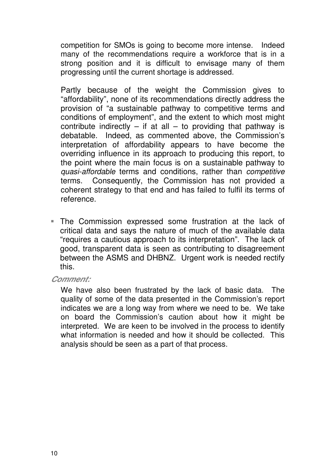competition for SMOs is going to become more intense. Indeed many of the recommendations require a workforce that is in a strong position and it is difficult to envisage many of them progressing until the current shortage is addressed.

Partly because of the weight the Commission gives to "affordability", none of its recommendations directly address the provision of "a sustainable pathway to competitive terms and conditions of employment", and the extent to which most might contribute indirectly  $-$  if at all  $-$  to providing that pathway is debatable. Indeed, as commented above, the Commission's interpretation of affordability appears to have become the overriding influence in its approach to producing this report, to the point where the main focus is on a sustainable pathway to quasi-affordable terms and conditions, rather than competitive terms. Consequently, the Commission has not provided a coherent strategy to that end and has failed to fulfil its terms of reference.

 The Commission expressed some frustration at the lack of critical data and says the nature of much of the available data "requires a cautious approach to its interpretation". The lack of good, transparent data is seen as contributing to disagreement between the ASMS and DHBNZ. Urgent work is needed rectify this.

#### **Comment:**

We have also been frustrated by the lack of basic data. The quality of some of the data presented in the Commission's report indicates we are a long way from where we need to be. We take on board the Commission's caution about how it might be interpreted. We are keen to be involved in the process to identify what information is needed and how it should be collected. This analysis should be seen as a part of that process.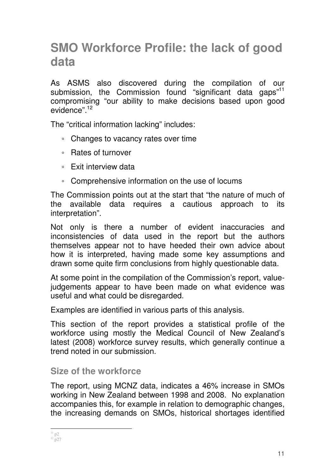### **SMO Workforce Profile: the lack of good data**

As ASMS also discovered during the compilation of our submission, the Commission found "significant data gaps"<sup>11</sup> compromising "our ability to make decisions based upon good evidence".<sup>12</sup>

The "critical information lacking" includes:

- Changes to vacancy rates over time
- Rates of turnover
- Exit interview data
- Comprehensive information on the use of locums

The Commission points out at the start that "the nature of much of the available data requires a cautious approach to its interpretation".

Not only is there a number of evident inaccuracies and inconsistencies of data used in the report but the authors themselves appear not to have heeded their own advice about how it is interpreted, having made some key assumptions and drawn some quite firm conclusions from highly questionable data.

At some point in the compilation of the Commission's report, valuejudgements appear to have been made on what evidence was useful and what could be disregarded.

Examples are identified in various parts of this analysis.

This section of the report provides a statistical profile of the workforce using mostly the Medical Council of New Zealand's latest (2008) workforce survey results, which generally continue a trend noted in our submission.

### **Size of the workforce**

The report, using MCNZ data, indicates a 46% increase in SMOs working in New Zealand between 1998 and 2008. No explanation accompanies this, for example in relation to demographic changes, the increasing demands on SMOs, historical shortages identified

 $\overline{a}$  $11$  p2  $12$  p27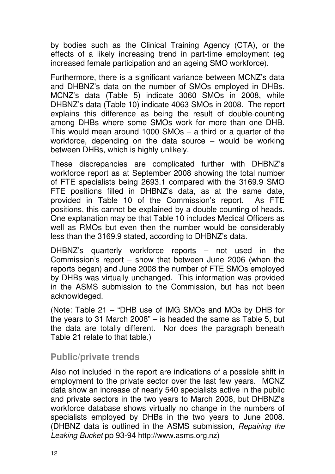by bodies such as the Clinical Training Agency (CTA), or the effects of a likely increasing trend in part-time employment (eg increased female participation and an ageing SMO workforce).

Furthermore, there is a significant variance between MCNZ's data and DHBNZ's data on the number of SMOs employed in DHBs. MCNZ's data (Table 5) indicate 3060 SMOs in 2008, while DHBNZ's data (Table 10) indicate 4063 SMOs in 2008. The report explains this difference as being the result of double-counting among DHBs where some SMOs work for more than one DHB. This would mean around 1000 SMOs – a third or a quarter of the workforce, depending on the data source – would be working between DHBs, which is highly unlikely.

These discrepancies are complicated further with DHBNZ's workforce report as at September 2008 showing the total number of FTE specialists being 2693.1 compared with the 3169.9 SMO FTE positions filled in DHBNZ's data, as at the same date, provided in Table 10 of the Commission's report. As FTE positions, this cannot be explained by a double counting of heads. One explanation may be that Table 10 includes Medical Officers as well as RMOs but even then the number would be considerably less than the 3169.9 stated, according to DHBNZ's data.

DHBNZ's quarterly workforce reports – not used in the Commission's report – show that between June 2006 (when the reports began) and June 2008 the number of FTE SMOs employed by DHBs was virtually unchanged. This information was provided in the ASMS submission to the Commission, but has not been acknowldeged.

(Note: Table 21 – "DHB use of IMG SMOs and MOs by DHB for the years to 31 March 2008" – is headed the same as Table 5, but the data are totally different. Nor does the paragraph beneath Table 21 relate to that table.)

#### **Public/private trends**

Also not included in the report are indications of a possible shift in employment to the private sector over the last few years. MCNZ data show an increase of nearly 540 specialists active in the public and private sectors in the two years to March 2008, but DHBNZ's workforce database shows virtually no change in the numbers of specialists employed by DHBs in the two years to June 2008. (DHBNZ data is outlined in the ASMS submission, Repairing the Leaking Bucket pp 93-94 http://www.asms.org.nz)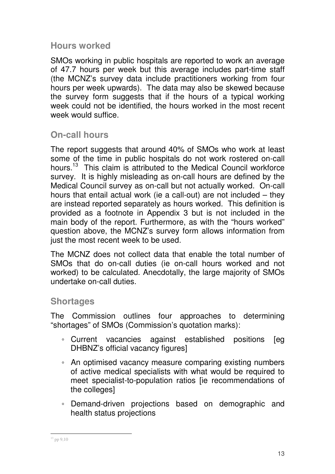### **Hours worked**

SMOs working in public hospitals are reported to work an average of 47.7 hours per week but this average includes part-time staff (the MCNZ's survey data include practitioners working from four hours per week upwards). The data may also be skewed because the survey form suggests that if the hours of a typical working week could not be identified, the hours worked in the most recent week would suffice.

### **On-call hours**

The report suggests that around 40% of SMOs who work at least some of the time in public hospitals do not work rostered on-call hours.<sup>13</sup> This claim is attributed to the Medical Council workforce survey. It is highly misleading as on-call hours are defined by the Medical Council survey as on-call but not actually worked. On-call hours that entail actual work (ie a call-out) are not included – they are instead reported separately as hours worked. This definition is provided as a footnote in Appendix 3 but is not included in the main body of the report. Furthermore, as with the "hours worked" question above, the MCNZ's survey form allows information from just the most recent week to be used.

The MCNZ does not collect data that enable the total number of SMOs that do on-call duties (ie on-call hours worked and not worked) to be calculated. Anecdotally, the large majority of SMOs undertake on-call duties.

### **Shortages**

The Commission outlines four approaches to determining "shortages" of SMOs (Commission's quotation marks):

- Current vacancies against established positions [eg DHBNZ's official vacancy figures]
- An optimised vacancy measure comparing existing numbers of active medical specialists with what would be required to meet specialist-to-population ratios [ie recommendations of the colleges]
- Demand-driven projections based on demographic and health status projections

 $\ddot{\phantom{a}}$ <sup>13</sup> pp 9,10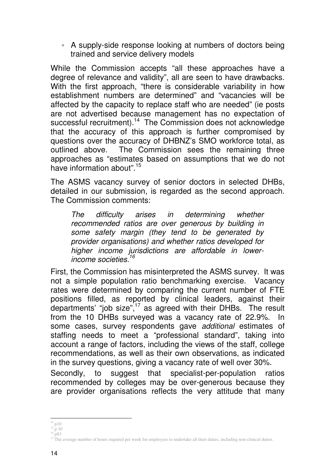◦ A supply-side response looking at numbers of doctors being trained and service delivery models

While the Commission accepts "all these approaches have a degree of relevance and validity", all are seen to have drawbacks. With the first approach, "there is considerable variability in how establishment numbers are determined" and "vacancies will be affected by the capacity to replace staff who are needed" (ie posts are not advertised because management has no expectation of successful recruitment).<sup>14</sup> The Commission does not acknowledge that the accuracy of this approach is further compromised by questions over the accuracy of DHBNZ's SMO workforce total, as outlined above. The Commission sees the remaining three approaches as "estimates based on assumptions that we do not have information about" <sup>15</sup>

The ASMS vacancy survey of senior doctors in selected DHBs, detailed in our submission, is regarded as the second approach. The Commission comments:

The difficulty arises in determining whether recommended ratios are over generous by building in some safety margin (they tend to be generated by provider organisations) and whether ratios developed for higher income jurisdictions are affordable in lowerincome societies.<sup>16</sup>

First, the Commission has misinterpreted the ASMS survey. It was not a simple population ratio benchmarking exercise. Vacancy rates were determined by comparing the current number of FTE positions filled, as reported by clinical leaders, against their departments' "job size",<sup>17</sup> as agreed with their DHBs. The result from the 10 DHBs surveyed was a vacancy rate of 22.9%. In some cases, survey respondents gave additional estimates of staffing needs to meet a "professional standard", taking into account a range of factors, including the views of the staff, college recommendations, as well as their own observations, as indicated in the survey questions, giving a vacancy rate of well over 30%.

Secondly, to suggest that specialist-per-population ratios recommended by colleges may be over-generous because they are provider organisations reflects the very attitude that many

 $\overline{a}$  $14$  p10

 $15\,\overline{p}\,10$ 

 $16^{P10}$ 

<sup>&</sup>lt;sup>17</sup> The average number of hours required per week for employees to undertake all their duties, including non-clinical duties.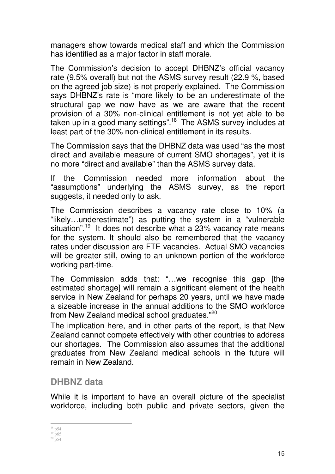managers show towards medical staff and which the Commission has identified as a major factor in staff morale.

The Commission's decision to accept DHBNZ's official vacancy rate (9.5% overall) but not the ASMS survey result (22.9 %, based on the agreed job size) is not properly explained. The Commission says DHBNZ's rate is "more likely to be an underestimate of the structural gap we now have as we are aware that the recent provision of a 30% non-clinical entitlement is not yet able to be taken up in a good many settings".<sup>18</sup> The ASMS survey includes at least part of the 30% non-clinical entitlement in its results.

The Commission says that the DHBNZ data was used "as the most direct and available measure of current SMO shortages", yet it is no more "direct and available" than the ASMS survey data.

If the Commission needed more information about the "assumptions" underlying the ASMS survey, as the report suggests, it needed only to ask.

The Commission describes a vacancy rate close to 10% (a "likely…underestimate") as putting the system in a "vulnerable situation".<sup>19</sup> It does not describe what a 23% vacancy rate means for the system. It should also be remembered that the vacancy rates under discussion are FTE vacancies. Actual SMO vacancies will be greater still, owing to an unknown portion of the workforce working part-time.

The Commission adds that: "…we recognise this gap [the estimated shortage] will remain a significant element of the health service in New Zealand for perhaps 20 years, until we have made a sizeable increase in the annual additions to the SMO workforce from New Zealand medical school graduates."<sup>20</sup>

The implication here, and in other parts of the report, is that New Zealand cannot compete effectively with other countries to address our shortages. The Commission also assumes that the additional graduates from New Zealand medical schools in the future will remain in New Zealand.

### **DHBNZ data**

While it is important to have an overall picture of the specialist workforce, including both public and private sectors, given the

 $\ddot{\phantom{a}}$  $18$  p54

 $19$  p65  $20^{20}$  p54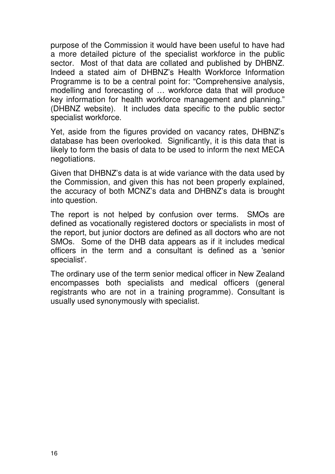purpose of the Commission it would have been useful to have had a more detailed picture of the specialist workforce in the public sector. Most of that data are collated and published by DHBNZ. Indeed a stated aim of DHBNZ's Health Workforce Information Programme is to be a central point for: "Comprehensive analysis, modelling and forecasting of … workforce data that will produce key information for health workforce management and planning." (DHBNZ website). It includes data specific to the public sector specialist workforce.

Yet, aside from the figures provided on vacancy rates, DHBNZ's database has been overlooked. Significantly, it is this data that is likely to form the basis of data to be used to inform the next MECA negotiations.

Given that DHBNZ's data is at wide variance with the data used by the Commission, and given this has not been properly explained, the accuracy of both MCNZ's data and DHBNZ's data is brought into question.

The report is not helped by confusion over terms. SMOs are defined as vocationally registered doctors or specialists in most of the report, but junior doctors are defined as all doctors who are not SMOs. Some of the DHB data appears as if it includes medical officers in the term and a consultant is defined as a 'senior specialist'.

The ordinary use of the term senior medical officer in New Zealand encompasses both specialists and medical officers (general registrants who are not in a training programme). Consultant is usually used synonymously with specialist.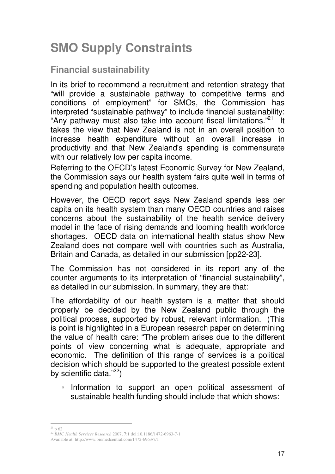# **SMO Supply Constraints**

### **Financial sustainability**

In its brief to recommend a recruitment and retention strategy that "will provide a sustainable pathway to competitive terms and conditions of employment" for SMOs, the Commission has interpreted "sustainable pathway" to include financial sustainability: "Any pathway must also take into account fiscal limitations."<sup>21</sup> It takes the view that New Zealand is not in an overall position to increase health expenditure without an overall increase in productivity and that New Zealand's spending is commensurate with our relatively low per capita income.

Referring to the OECD's latest Economic Survey for New Zealand, the Commission says our health system fairs quite well in terms of spending and population health outcomes.

However, the OECD report says New Zealand spends less per capita on its health system than many OECD countries and raises concerns about the sustainability of the health service delivery model in the face of rising demands and looming health workforce shortages. OECD data on international health status show New Zealand does not compare well with countries such as Australia, Britain and Canada, as detailed in our submission [pp22-23].

The Commission has not considered in its report any of the counter arguments to its interpretation of "financial sustainability", as detailed in our submission. In summary, they are that:

The affordability of our health system is a matter that should properly be decided by the New Zealand public through the political process, supported by robust, relevant information. (This is point is highlighted in a European research paper on determining the value of health care: "The problem arises due to the different points of view concerning what is adequate, appropriate and economic. The definition of this range of services is a political decision which should be supported to the greatest possible extent by scientific data."<sup>22</sup>)

◦ Information to support an open political assessment of sustainable health funding should include that which shows:

 $\ddot{\phantom{a}}$  $21$  p 62

<sup>22</sup> *BMC Health Services Research* 2007, **7**:1 doi:10.1186/1472-6963-7-1

Available at: http://www.biomedcentral.com/1472-6963/7/1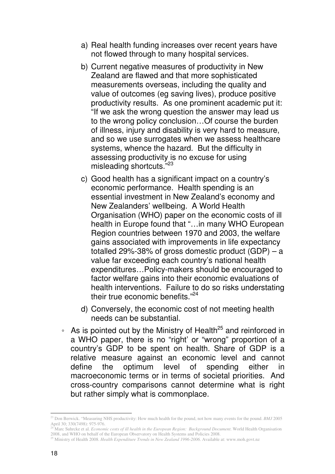- a) Real health funding increases over recent years have not flowed through to many hospital services.
- b) Current negative measures of productivity in New Zealand are flawed and that more sophisticated measurements overseas, including the quality and value of outcomes (eg saving lives), produce positive productivity results. As one prominent academic put it: "If we ask the wrong question the answer may lead us to the wrong policy conclusion…Of course the burden of illness, injury and disability is very hard to measure, and so we use surrogates when we assess healthcare systems, whence the hazard. But the difficulty in assessing productivity is no excuse for using misleading shortcuts."<sup>23</sup>
- c) Good health has a significant impact on a country's economic performance. Health spending is an essential investment in New Zealand's economy and New Zealanders' wellbeing. A World Health Organisation (WHO) paper on the economic costs of ill health in Europe found that "…in many WHO European Region countries between 1970 and 2003, the welfare gains associated with improvements in life expectancy totalled 29%-38% of gross domestic product  $(GDP) - a$ value far exceeding each country's national health expenditures…Policy-makers should be encouraged to factor welfare gains into their economic evaluations of health interventions. Failure to do so risks understating their true economic benefits."<sup>24</sup>
- d) Conversely, the economic cost of not meeting health needs can be substantial.
- As is pointed out by the Ministry of Health<sup>25</sup> and reinforced in a WHO paper, there is no "right' or "wrong" proportion of a country's GDP to be spent on health. Share of GDP is a relative measure against an economic level and cannot define the optimum level of spending either in macroeconomic terms or in terms of societal priorities. And cross-country comparisons cannot determine what is right but rather simply what is commonplace.

 $\ddot{\phantom{a}}$ <sup>23</sup> Don Berwick. "Measuring NHS productivity: How much health for the pound, not how many events for the pound. *BMJ* 2005 April 30; 330(7498): 975-976.

<sup>24</sup> Marc Suhrcke et al. *Economic costs of ill health in the European Region: Background Document*. World Health Organisation 2008, and WHO on behalf of the European Observatory on Health Systems and Policies 2008.

<sup>25</sup> Ministry of Health 2008. *Health Expenditure Trends in New Zealand 1996-2006*. Available at: www.moh.govt.nz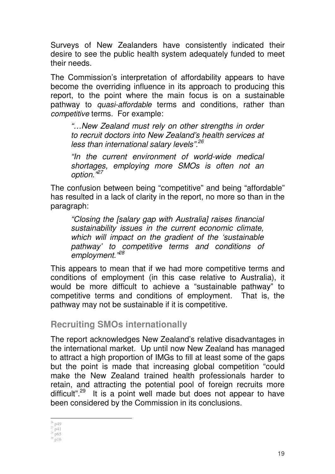Surveys of New Zealanders have consistently indicated their desire to see the public health system adequately funded to meet their needs.

The Commission's interpretation of affordability appears to have become the overriding influence in its approach to producing this report, to the point where the main focus is on a sustainable pathway to *quasi-affordable* terms and conditions, rather than competitive terms. For example:

"…New Zealand must rely on other strengths in order to recruit doctors into New Zealand's health services at less than international salary levels".<sup>26</sup>

"In the current environment of world-wide medical shortages, employing more SMOs is often not an option.<sup>"27</sup>

The confusion between being "competitive" and being "affordable" has resulted in a lack of clarity in the report, no more so than in the paragraph:

"Closing the [salary gap with Australia] raises financial sustainability issues in the current economic climate, which will impact on the gradient of the 'sustainable pathway' to competitive terms and conditions of employment."<sup>28</sup>

This appears to mean that if we had more competitive terms and conditions of employment (in this case relative to Australia), it would be more difficult to achieve a "sustainable pathway" to competitive terms and conditions of employment. That is, the pathway may not be sustainable if it is competitive.

### **Recruiting SMOs internationally**

The report acknowledges New Zealand's relative disadvantages in the international market. Up until now New Zealand has managed to attract a high proportion of IMGs to fill at least some of the gaps but the point is made that increasing global competition "could make the New Zealand trained health professionals harder to retain, and attracting the potential pool of foreign recruits more difficult"<sup>29</sup> It is a point well made but does not appear to have been considered by the Commission in its conclusions.

 $\overline{a}$  $26$  p49

 $27$  p41

 $28$  p65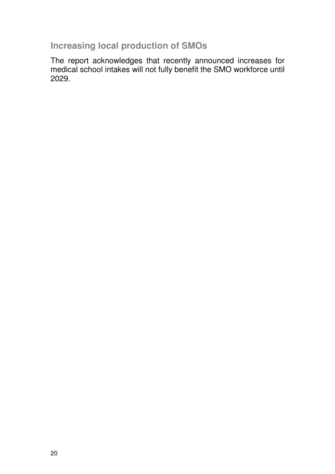**Increasing local production of SMOs** 

The report acknowledges that recently announced increases for medical school intakes will not fully benefit the SMO workforce until 2029.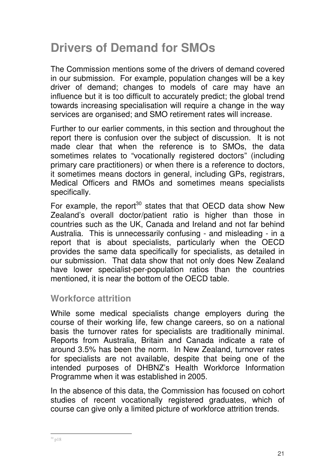# **Drivers of Demand for SMOs**

The Commission mentions some of the drivers of demand covered in our submission. For example, population changes will be a key driver of demand; changes to models of care may have an influence but it is too difficult to accurately predict; the global trend towards increasing specialisation will require a change in the way services are organised; and SMO retirement rates will increase.

Further to our earlier comments, in this section and throughout the report there is confusion over the subject of discussion. It is not made clear that when the reference is to SMOs, the data sometimes relates to "vocationally registered doctors" (including primary care practitioners) or when there is a reference to doctors, it sometimes means doctors in general, including GPs, registrars, Medical Officers and RMOs and sometimes means specialists specifically.

For example, the report<sup>30</sup> states that that OECD data show New Zealand's overall doctor/patient ratio is higher than those in countries such as the UK, Canada and Ireland and not far behind Australia. This is unnecessarily confusing - and misleading - in a report that is about specialists, particularly when the OECD provides the same data specifically for specialists, as detailed in our submission. That data show that not only does New Zealand have lower specialist-per-population ratios than the countries mentioned, it is near the bottom of the OECD table.

#### **Workforce attrition**

While some medical specialists change employers during the course of their working life, few change careers, so on a national basis the turnover rates for specialists are traditionally minimal. Reports from Australia, Britain and Canada indicate a rate of around 3.5% has been the norm. In New Zealand, turnover rates for specialists are not available, despite that being one of the intended purposes of DHBNZ's Health Workforce Information Programme when it was established in 2005.

In the absence of this data, the Commission has focused on cohort studies of recent vocationally registered graduates, which of course can give only a limited picture of workforce attrition trends.

 $\ddot{\phantom{a}}$  $30 p18$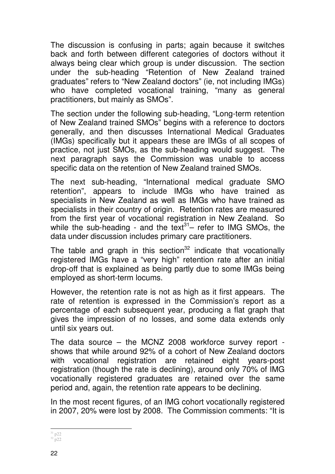The discussion is confusing in parts; again because it switches back and forth between different categories of doctors without it always being clear which group is under discussion. The section under the sub-heading "Retention of New Zealand trained graduates" refers to "New Zealand doctors" (ie, not including IMGs) who have completed vocational training, "many as general practitioners, but mainly as SMOs".

The section under the following sub-heading, "Long-term retention of New Zealand trained SMOs" begins with a reference to doctors generally, and then discusses International Medical Graduates (IMGs) specifically but it appears these are IMGs of all scopes of practice, not just SMOs, as the sub-heading would suggest. The next paragraph says the Commission was unable to access specific data on the retention of New Zealand trained SMOs.

The next sub-heading, "International medical graduate SMO retention", appears to include IMGs who have trained as specialists in New Zealand as well as IMGs who have trained as specialists in their country of origin. Retention rates are measured from the first year of vocational registration in New Zealand. So while the sub-heading - and the  $text{ext}^{31}$ – refer to IMG SMOs, the data under discussion includes primary care practitioners.

The table and graph in this section $32$  indicate that vocationally registered IMGs have a "very high" retention rate after an initial drop-off that is explained as being partly due to some IMGs being employed as short-term locums.

However, the retention rate is not as high as it first appears. The rate of retention is expressed in the Commission's report as a percentage of each subsequent year, producing a flat graph that gives the impression of no losses, and some data extends only until six years out.

The data source – the MCNZ 2008 workforce survey report shows that while around 92% of a cohort of New Zealand doctors with vocational registration are retained eight vears-post registration (though the rate is declining), around only 70% of IMG vocationally registered graduates are retained over the same period and, again, the retention rate appears to be declining.

In the most recent figures, of an IMG cohort vocationally registered in 2007, 20% were lost by 2008. The Commission comments: "It is

 $\overline{a}$  $31$  p22  $32$  p22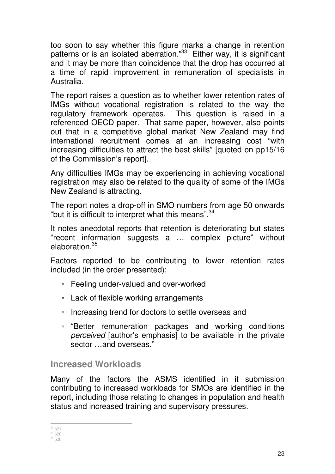too soon to say whether this figure marks a change in retention patterns or is an isolated aberration."<sup>33</sup> Either way, it is significant and it may be more than coincidence that the drop has occurred at a time of rapid improvement in remuneration of specialists in Australia.

The report raises a question as to whether lower retention rates of IMGs without vocational registration is related to the way the regulatory framework operates. This question is raised in a referenced OECD paper. That same paper, however, also points out that in a competitive global market New Zealand may find international recruitment comes at an increasing cost "with increasing difficulties to attract the best skills" [quoted on pp15/16 of the Commission's report].

Any difficulties IMGs may be experiencing in achieving vocational registration may also be related to the quality of some of the IMGs New Zealand is attracting.

The report notes a drop-off in SMO numbers from age 50 onwards "but it is difficult to interpret what this means".<sup>34</sup>

It notes anecdotal reports that retention is deteriorating but states "recent information suggests a … complex picture" without elaboration.<sup>35</sup>

Factors reported to be contributing to lower retention rates included (in the order presented):

- Feeling under-valued and over-worked
- Lack of flexible working arrangements
- Increasing trend for doctors to settle overseas and
- "Better remuneration packages and working conditions perceived [author's emphasis] to be available in the private sector and overseas."

### **Increased Workloads**

Many of the factors the ASMS identified in it submission contributing to increased workloads for SMOs are identified in the report, including those relating to changes in population and health status and increased training and supervisory pressures.

 $\ddot{\phantom{a}}$ <sup>33</sup> p21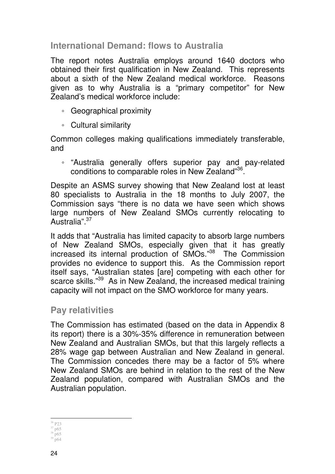**International Demand: flows to Australia** 

The report notes Australia employs around 1640 doctors who obtained their first qualification in New Zealand. This represents about a sixth of the New Zealand medical workforce. Reasons given as to why Australia is a "primary competitor" for New Zealand's medical workforce include:

- Geographical proximity
- Cultural similarity

Common colleges making qualifications immediately transferable, and

◦ "Australia generally offers superior pay and pay-related conditions to comparable roles in New Zealand"<sup>36</sup>.

Despite an ASMS survey showing that New Zealand lost at least 80 specialists to Australia in the 18 months to July 2007, the Commission says "there is no data we have seen which shows large numbers of New Zealand SMOs currently relocating to Australia".<sup>37</sup>

It adds that "Australia has limited capacity to absorb large numbers of New Zealand SMOs, especially given that it has greatly increased its internal production of SMOs."<sup>38</sup> The Commission provides no evidence to support this. As the Commission report itself says, "Australian states [are] competing with each other for scarce skills."<sup>39</sup> As in New Zealand, the increased medical training capacity will not impact on the SMO workforce for many years.

### **Pay relativities**

The Commission has estimated (based on the data in Appendix 8 its report) there is a 30%-35% difference in remuneration between New Zealand and Australian SMOs, but that this largely reflects a 28% wage gap between Australian and New Zealand in general. The Commission concedes there may be a factor of 5% where New Zealand SMOs are behind in relation to the rest of the New Zealand population, compared with Australian SMOs and the Australian population.

 $\overline{a}$ <sup>36</sup> P23

 $37 p65$ 

 $38$  p65  $39^{1}$  p64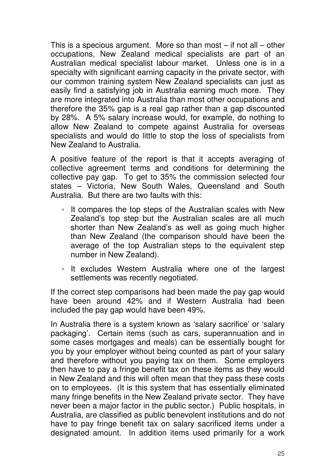This is a specious argument. More so than most  $-$  if not all  $-$  other occupations, New Zealand medical specialists are part of an Australian medical specialist labour market. Unless one is in a specialty with significant earning capacity in the private sector, with our common training system New Zealand specialists can just as easily find a satisfying job in Australia earning much more. They are more integrated into Australia than most other occupations and therefore the 35% gap is a real gap rather than a gap discounted by 28%. A 5% salary increase would, for example, do nothing to allow New Zealand to compete against Australia for overseas specialists and would do little to stop the loss of specialists from New Zealand to Australia.

A positive feature of the report is that it accepts averaging of collective agreement terms and conditions for determining the collective pay gap. To get to 35% the commission selected four states – Victoria, New South Wales, Queensland and South Australia. But there are two faults with this:

- It compares the top steps of the Australian scales with New Zealand's top step but the Australian scales are all much shorter than New Zealand's as well as going much higher than New Zealand (the comparison should have been the average of the top Australian steps to the equivalent step number in New Zealand).
- It excludes Western Australia where one of the largest settlements was recently negotiated.

If the correct step comparisons had been made the pay gap would have been around 42% and if Western Australia had been included the pay gap would have been 49%.

In Australia there is a system known as 'salary sacrifice' or 'salary packaging'. Certain items (such as cars, superannuation and in some cases mortgages and meals) can be essentially bought for you by your employer without being counted as part of your salary and therefore without you paying tax on them. Some employers then have to pay a fringe benefit tax on these items as they would in New Zealand and this will often mean that they pass these costs on to employees. (It is this system that has essentially eliminated many fringe benefits in the New Zealand private sector. They have never been a major factor in the public sector.) Public hospitals, in Australia, are classified as public benevolent institutions and do not have to pay fringe benefit tax on salary sacrificed items under a designated amount. In addition items used primarily for a work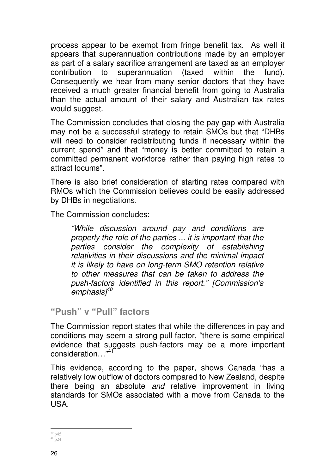process appear to be exempt from fringe benefit tax. As well it appears that superannuation contributions made by an employer as part of a salary sacrifice arrangement are taxed as an employer contribution to superannuation (taxed within the fund). Consequently we hear from many senior doctors that they have received a much greater financial benefit from going to Australia than the actual amount of their salary and Australian tax rates would suggest.

The Commission concludes that closing the pay gap with Australia may not be a successful strategy to retain SMOs but that "DHBs will need to consider redistributing funds if necessary within the current spend" and that "money is better committed to retain a committed permanent workforce rather than paying high rates to attract locums".

There is also brief consideration of starting rates compared with RMOs which the Commission believes could be easily addressed by DHBs in negotiations.

The Commission concludes:

"While discussion around pay and conditions are properly the role of the parties ... it is important that the parties consider the complexity of establishing relativities in their discussions and the minimal impact it is likely to have on long-term SMO retention relative to other measures that can be taken to address the push-factors identified in this report." [Commission's emphasis $1^{40}$ 

**"Push" v "Pull" factors** 

The Commission report states that while the differences in pay and conditions may seem a strong pull factor, "there is some empirical evidence that suggests push-factors may be a more important consideration…"<sup>41</sup>

This evidence, according to the paper, shows Canada "has a relatively low outflow of doctors compared to New Zealand, despite there being an absolute and relative improvement in living standards for SMOs associated with a move from Canada to the USA.

 $\overline{a}$  $40$  p45  $41$  p24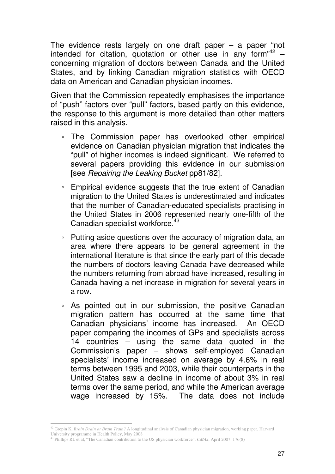The evidence rests largely on one draft paper  $-$  a paper "not intended for citation, quotation or other use in any form<sup>342</sup> concerning migration of doctors between Canada and the United States, and by linking Canadian migration statistics with OECD data on American and Canadian physician incomes.

Given that the Commission repeatedly emphasises the importance of "push" factors over "pull" factors, based partly on this evidence, the response to this argument is more detailed than other matters raised in this analysis.

- The Commission paper has overlooked other empirical evidence on Canadian physician migration that indicates the "pull" of higher incomes is indeed significant. We referred to several papers providing this evidence in our submission [see Repairing the Leaking Bucket pp81/82].
- Empirical evidence suggests that the true extent of Canadian migration to the United States is underestimated and indicates that the number of Canadian-educated specialists practising in the United States in 2006 represented nearly one-fifth of the Canadian specialist workforce.<sup>43</sup>
- Putting aside questions over the accuracy of migration data, an area where there appears to be general agreement in the international literature is that since the early part of this decade the numbers of doctors leaving Canada have decreased while the numbers returning from abroad have increased, resulting in Canada having a net increase in migration for several years in a row.
- As pointed out in our submission, the positive Canadian migration pattern has occurred at the same time that Canadian physicians' income has increased. An OECD paper comparing the incomes of GPs and specialists across 14 countries – using the same data quoted in the Commission's paper – shows self-employed Canadian specialists' income increased on average by 4.6% in real terms between 1995 and 2003, while their counterparts in the United States saw a decline in income of about 3% in real terms over the same period, and while the American average wage increased by 15%. The data does not include

 $\ddot{\phantom{a}}$ <sup>42</sup> Grepin K, *Brain Drain or Brain Train?* A longitudinal analysis of Canadian physician migration, working paper, Harvard University programme in Health Policy, May 2008

<sup>43</sup> Phillips RL et al, "The Canadian contribution to the US physician workforce", *CMAJ*, April 2007; 176(8)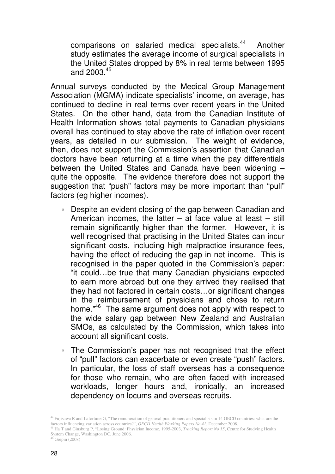comparisons on salaried medical specialists.<sup>44</sup> Another study estimates the average income of surgical specialists in the United States dropped by 8% in real terms between 1995 and  $2003^{45}$ 

Annual surveys conducted by the Medical Group Management Association (MGMA) indicate specialists' income, on average, has continued to decline in real terms over recent years in the United States. On the other hand, data from the Canadian Institute of Health Information shows total payments to Canadian physicians overall has continued to stay above the rate of inflation over recent years, as detailed in our submission. The weight of evidence, then, does not support the Commission's assertion that Canadian doctors have been returning at a time when the pay differentials between the United States and Canada have been widening – quite the opposite. The evidence therefore does not support the suggestion that "push" factors may be more important than "pull" factors (eg higher incomes).

- Despite an evident closing of the gap between Canadian and American incomes, the latter  $-$  at face value at least  $-$  still remain significantly higher than the former. However, it is well recognised that practising in the United States can incur significant costs, including high malpractice insurance fees, having the effect of reducing the gap in net income. This is recognised in the paper quoted in the Commission's paper: "it could…be true that many Canadian physicians expected to earn more abroad but one they arrived they realised that they had not factored in certain costs…or significant changes in the reimbursement of physicians and chose to return home."<sup>46</sup> The same argument does not apply with respect to the wide salary gap between New Zealand and Australian SMOs, as calculated by the Commission, which takes into account all significant costs.
- The Commission's paper has not recognised that the effect of "pull" factors can exacerbate or even create "push" factors. In particular, the loss of staff overseas has a consequence for those who remain, who are often faced with increased workloads, longer hours and, ironically, an increased dependency on locums and overseas recruits.

 $\ddot{\phantom{a}}$ <sup>44</sup> Fujisawa R and Lafortune G, "The remuneration of general practitioners and specialists in 14 OECD countries: what are the factors influencing variation across countries?", *OECD Health Working Papers No 41*, December 2008.

<sup>45</sup> Ha T and Ginsburg P, "Losing Ground: Physician Income, 1995-2003, *Tracking Report No 15*, Centre for Studying Health System Change, Washington DC, June 2006.

 $46$  Grepin (2008)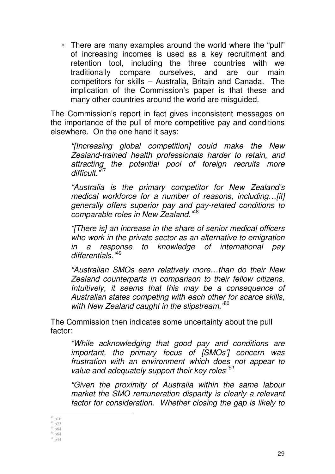◦ There are many examples around the world where the "pull" of increasing incomes is used as a key recruitment and retention tool, including the three countries with we traditionally compare ourselves, and are our main competitors for skills – Australia, Britain and Canada. The implication of the Commission's paper is that these and many other countries around the world are misguided.

The Commission's report in fact gives inconsistent messages on the importance of the pull of more competitive pay and conditions elsewhere. On the one hand it says:

"[Increasing global competition] could make the New Zealand-trained health professionals harder to retain, and attracting the potential pool of foreign recruits more difficult.<sup>"47</sup>

"Australia is the primary competitor for New Zealand's medical workforce for a number of reasons, including... [it] generally offers superior pay and pay-related conditions to comparable roles in New Zealand."<sup>48</sup>

"[There is] an increase in the share of senior medical officers who work in the private sector as an alternative to emigration in a response to knowledge of international pay differentials<sup>,49</sup>

"Australian SMOs earn relatively more…than do their New Zealand counterparts in comparison to their fellow citizens. Intuitively, it seems that this may be a consequence of Australian states competing with each other for scarce skills, with New Zealand caught in the slipstream.<sup>50</sup>

The Commission then indicates some uncertainty about the pull factor:

"While acknowledging that good pay and conditions are important, the primary focus of [SMOs'] concern was frustration with an environment which does not appear to value and adequately support their key roles<sup>751</sup>

"Given the proximity of Australia within the same labour market the SMO remuneration disparity is clearly a relevant factor for consideration. Whether closing the gap is likely to

 $\ddot{\phantom{a}}$  $47$  p16

 $48 \frac{r}{p}$ 23  $^{49}$  p64

 $50 \frac{1}{p}64$ 

 $51 \frac{1}{p}44$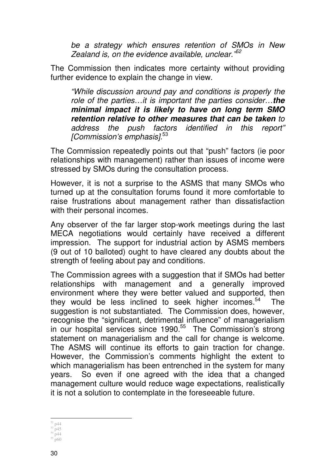be a strategy which ensures retention of SMOs in New Zealand is, on the evidence available, unclear.  $152$ 

The Commission then indicates more certainty without providing further evidence to explain the change in view.

"While discussion around pay and conditions is properly the role of the parties…it is important the parties consider…**the minimal impact it is likely to have on long term SMO retention relative to other measures that can be taken** to address the push factors identified in this report" [Commission's emphasis].<sup>53</sup>

The Commission repeatedly points out that "push" factors (ie poor relationships with management) rather than issues of income were stressed by SMOs during the consultation process.

However, it is not a surprise to the ASMS that many SMOs who turned up at the consultation forums found it more comfortable to raise frustrations about management rather than dissatisfaction with their personal incomes.

Any observer of the far larger stop-work meetings during the last MECA negotiations would certainly have received a different impression. The support for industrial action by ASMS members (9 out of 10 balloted) ought to have cleared any doubts about the strength of feeling about pay and conditions.

The Commission agrees with a suggestion that if SMOs had better relationships with management and a generally improved environment where they were better valued and supported, then they would be less inclined to seek higher incomes. $54$  The suggestion is not substantiated. The Commission does, however, recognise the "significant, detrimental influence" of managerialism in our hospital services since 1990.<sup>55</sup> The Commission's strong statement on managerialism and the call for change is welcome. The ASMS will continue its efforts to gain traction for change. However, the Commission's comments highlight the extent to which managerialism has been entrenched in the system for many years. So even if one agreed with the idea that a changed management culture would reduce wage expectations, realistically it is not a solution to contemplate in the foreseeable future.

 $\overline{a}$  $52$  p44

<sup>53</sup> p45

<sup>54</sup> p44  $55 \text{ p}60$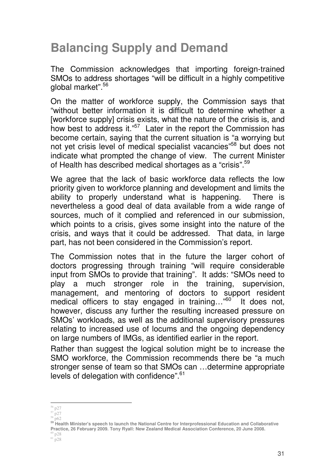# **Balancing Supply and Demand**

The Commission acknowledges that importing foreign-trained SMOs to address shortages "will be difficult in a highly competitive global market".<sup>56</sup>

On the matter of workforce supply, the Commission says that "without better information it is difficult to determine whether a [workforce supply] crisis exists, what the nature of the crisis is, and how best to address it."<sup>57</sup> Later in the report the Commission has become certain, saying that the current situation is "a worrying but not yet crisis level of medical specialist vacancies"<sup>58</sup> but does not indicate what prompted the change of view. The current Minister of Health has described medical shortages as a "crisis".<sup>59</sup>

We agree that the lack of basic workforce data reflects the low priority given to workforce planning and development and limits the ability to properly understand what is happening. There is nevertheless a good deal of data available from a wide range of sources, much of it complied and referenced in our submission, which points to a crisis, gives some insight into the nature of the crisis, and ways that it could be addressed. That data, in large part, has not been considered in the Commission's report.

The Commission notes that in the future the larger cohort of doctors progressing through training "will require considerable input from SMOs to provide that training". It adds: "SMOs need to play a much stronger role in the training, supervision, management, and mentoring of doctors to support resident medical officers to stay engaged in training..."<sup>60</sup> It does not, however, discuss any further the resulting increased pressure on SMOs' workloads, as well as the additional supervisory pressures relating to increased use of locums and the ongoing dependency on large numbers of IMGs, as identified earlier in the report.

Rather than suggest the logical solution might be to increase the SMO workforce, the Commission recommends there be "a much stronger sense of team so that SMOs can …determine appropriate levels of delegation with confidence".<sup>61</sup>

 $\frac{58}{11}$  p62

 $\ddot{\phantom{a}}$ <sup>56</sup> p27

 $57 \overline{\text{p27}}$ 

**<sup>59</sup> Health Minister's speech to launch the National Centre for Interprofessional Education and Collaborative Practice, 26 February 2009. Tony Ryall: New Zealand Medical Association Conference, 20 June 2008.**  $60$  p28

 $61$  p28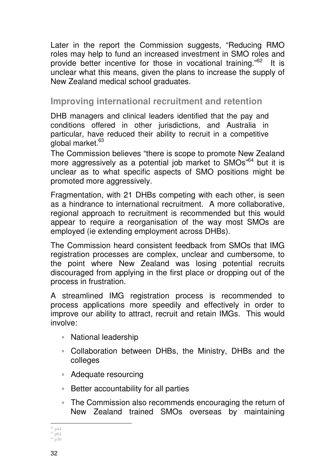Later in the report the Commission suggests, "Reducing RMO roles may help to fund an increased investment in SMO roles and provide better incentive for those in vocational training."<sup>62</sup> It is unclear what this means, given the plans to increase the supply of New Zealand medical school graduates.

### **Improving international recruitment and retention**

DHB managers and clinical leaders identified that the pay and conditions offered in other jurisdictions, and Australia in particular, have reduced their ability to recruit in a competitive global market.<sup>63</sup>

The Commission believes "there is scope to promote New Zealand more aggressively as a potential job market to SMOs"<sup>64</sup> but it is unclear as to what specific aspects of SMO positions might be promoted more aggressively.

Fragmentation, with 21 DHBs competing with each other, is seen as a hindrance to international recruitment. A more collaborative, regional approach to recruitment is recommended but this would appear to require a reorganisation of the way most SMOs are employed (ie extending employment across DHBs).

The Commission heard consistent feedback from SMOs that IMG registration processes are complex, unclear and cumbersome, to the point where New Zealand was losing potential recruits discouraged from applying in the first place or dropping out of the process in frustration.

A streamlined IMG registration process is recommended to process applications more speedily and effectively in order to improve our ability to attract, recruit and retain IMGs. This would involve:

- National leadership
- Collaboration between DHBs, the Ministry, DHBs and the colleges
- Adequate resourcing
- Better accountability for all parties
- The Commission also recommends encouraging the return of New Zealand trained SMOs overseas by maintaining

 $\ddot{\phantom{a}}$  $62$  p44

 $63$  p64  $64 \text{ p30}$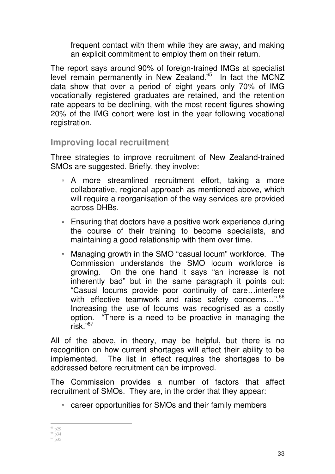frequent contact with them while they are away, and making an explicit commitment to employ them on their return.

The report says around 90% of foreign-trained IMGs at specialist level remain permanently in New Zealand.<sup>65</sup> In fact the MCNZ data show that over a period of eight years only 70% of IMG vocationally registered graduates are retained, and the retention rate appears to be declining, with the most recent figures showing 20% of the IMG cohort were lost in the year following vocational registration.

### **Improving local recruitment**

Three strategies to improve recruitment of New Zealand-trained SMOs are suggested. Briefly, they involve:

- A more streamlined recruitment effort, taking a more collaborative, regional approach as mentioned above, which will require a reorganisation of the way services are provided across DHBs.
- Ensuring that doctors have a positive work experience during the course of their training to become specialists, and maintaining a good relationship with them over time.
- Managing growth in the SMO "casual locum" workforce. The Commission understands the SMO locum workforce is growing. On the one hand it says "an increase is not inherently bad" but in the same paragraph it points out: "Casual locums provide poor continuity of care…interfere with effective teamwork and raise safety concerns...".<sup>66</sup> Increasing the use of locums was recognised as a costly option. "There is a need to be proactive in managing the risk $^{107}$

All of the above, in theory, may be helpful, but there is no recognition on how current shortages will affect their ability to be implemented. The list in effect requires the shortages to be addressed before recruitment can be improved.

The Commission provides a number of factors that affect recruitment of SMOs. They are, in the order that they appear:

◦ career opportunities for SMOs and their family members

 $\ddot{\phantom{a}}$ <sup>65</sup> p29

<sup>66</sup> p34  $67 \overline{\text{p}}35$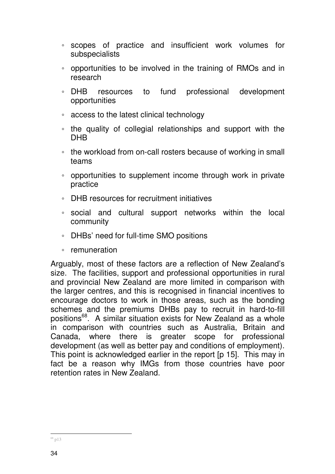- scopes of practice and insufficient work volumes for subspecialists
- opportunities to be involved in the training of RMOs and in research
- DHB resources to fund professional development opportunities
- access to the latest clinical technology
- the quality of collegial relationships and support with the DHB
- the workload from on-call rosters because of working in small teams
- opportunities to supplement income through work in private practice
- DHB resources for recruitment initiatives
- social and cultural support networks within the local community
- DHBs' need for full-time SMO positions
- remuneration

Arguably, most of these factors are a reflection of New Zealand's size. The facilities, support and professional opportunities in rural and provincial New Zealand are more limited in comparison with the larger centres, and this is recognised in financial incentives to encourage doctors to work in those areas, such as the bonding schemes and the premiums DHBs pay to recruit in hard-to-fill positions<sup>68</sup>. A similar situation exists for New Zealand as a whole in comparison with countries such as Australia, Britain and Canada, where there is greater scope for professional development (as well as better pay and conditions of employment). This point is acknowledged earlier in the report [p 15]. This may in fact be a reason why IMGs from those countries have poor retention rates in New Zealand.

 $\ddot{\phantom{a}}$ <sup>68</sup> p13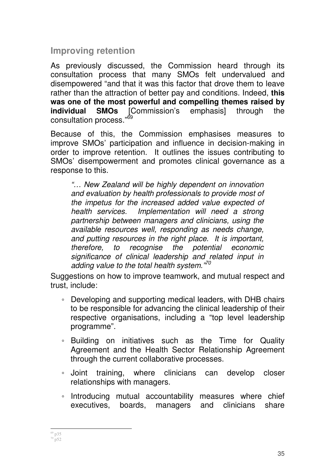### **Improving retention**

As previously discussed, the Commission heard through its consultation process that many SMOs felt undervalued and disempowered "and that it was this factor that drove them to leave rather than the attraction of better pay and conditions. Indeed, **this was one of the most powerful and compelling themes raised by individual SMOs** [Commission's emphasis] through the consultation process."<sup>69</sup>

Because of this, the Commission emphasises measures to improve SMOs' participation and influence in decision-making in order to improve retention. It outlines the issues contributing to SMOs' disempowerment and promotes clinical governance as a response to this.

"… New Zealand will be highly dependent on innovation and evaluation by health professionals to provide most of the impetus for the increased added value expected of health services. Implementation will need a strong partnership between managers and clinicians, using the available resources well, responding as needs change, and putting resources in the right place. It is important, therefore, to recognise the potential economic significance of clinical leadership and related input in adding value to the total health system. $v^{70}$ 

Suggestions on how to improve teamwork, and mutual respect and trust, include:

- Developing and supporting medical leaders, with DHB chairs to be responsible for advancing the clinical leadership of their respective organisations, including a "top level leadership programme".
- Building on initiatives such as the Time for Quality Agreement and the Health Sector Relationship Agreement through the current collaborative processes.
- Joint training, where clinicians can develop closer relationships with managers.
- Introducing mutual accountability measures where chief executives, boards, managers and clinicians share

l  $69$  p35  $^{70}$  p52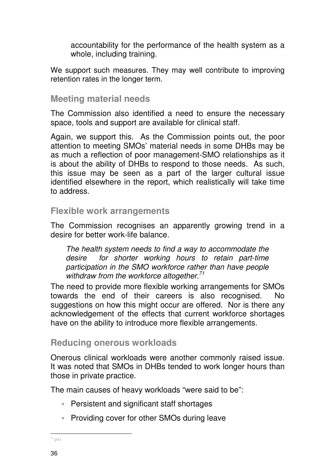accountability for the performance of the health system as a whole, including training.

We support such measures. They may well contribute to improving retention rates in the longer term.

#### **Meeting material needs**

The Commission also identified a need to ensure the necessary space, tools and support are available for clinical staff.

Again, we support this. As the Commission points out, the poor attention to meeting SMOs' material needs in some DHBs may be as much a reflection of poor management-SMO relationships as it is about the ability of DHBs to respond to those needs. As such, this issue may be seen as a part of the larger cultural issue identified elsewhere in the report, which realistically will take time to address.

#### **Flexible work arrangements**

The Commission recognises an apparently growing trend in a desire for better work-life balance.

The health system needs to find a way to accommodate the desire for shorter working hours to retain part-time participation in the SMO workforce rather than have people withdraw from the workforce altogether.<sup>71</sup>

The need to provide more flexible working arrangements for SMOs towards the end of their careers is also recognised. No suggestions on how this might occur are offered. Nor is there any acknowledgement of the effects that current workforce shortages have on the ability to introduce more flexible arrangements.

### **Reducing onerous workloads**

Onerous clinical workloads were another commonly raised issue. It was noted that SMOs in DHBs tended to work longer hours than those in private practice.

The main causes of heavy workloads "were said to be":

- Persistent and significant staff shortages
- Providing cover for other SMOs during leave

 $\ddot{ }$  $171 p41$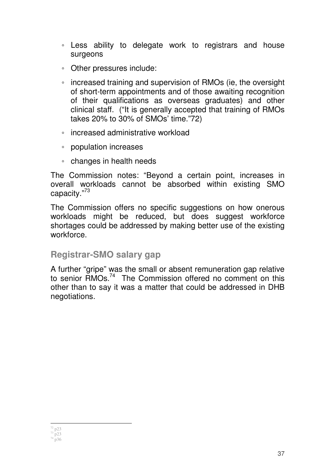- Less ability to delegate work to registrars and house surgeons
- Other pressures include:
- increased training and supervision of RMOs (ie, the oversight of short-term appointments and of those awaiting recognition of their qualifications as overseas graduates) and other clinical staff. ("It is generally accepted that training of RMOs takes 20% to 30% of SMOs' time."72)
- increased administrative workload
- population increases
- changes in health needs

The Commission notes: "Beyond a certain point, increases in overall workloads cannot be absorbed within existing SMO capacity."<sup>73</sup>

The Commission offers no specific suggestions on how onerous workloads might be reduced, but does suggest workforce shortages could be addressed by making better use of the existing workforce.

#### **Registrar-SMO salary gap**

A further "gripe" was the small or absent remuneration gap relative to senior RMOs.<sup>74</sup> The Commission offered no comment on this other than to say it was a matter that could be addressed in DHB negotiations.

 $\ddot{ }$  $72 \text{ p23}$ 

37

 $73 \text{ } \frac{1}{2}$  p23  $74^{1}$  p36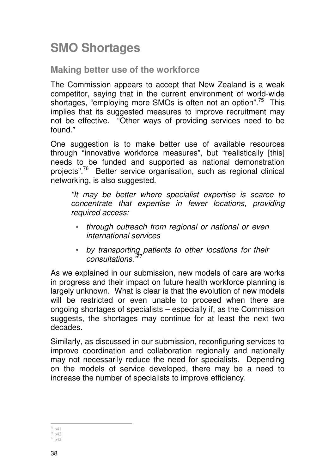# **SMO Shortages**

#### **Making better use of the workforce**

The Commission appears to accept that New Zealand is a weak competitor, saying that in the current environment of world-wide shortages, "employing more SMOs is often not an option".<sup>75</sup> This implies that its suggested measures to improve recruitment may not be effective. "Other ways of providing services need to be found."

One suggestion is to make better use of available resources through "innovative workforce measures", but "realistically [this] needs to be funded and supported as national demonstration projects".<sup>76</sup> Better service organisation, such as regional clinical networking, is also suggested.

"It may be better where specialist expertise is scarce to concentrate that expertise in fewer locations, providing required access:

- through outreach from regional or national or even international services
- by transporting patients to other locations for their consultations."

As we explained in our submission, new models of care are works in progress and their impact on future health workforce planning is largely unknown. What is clear is that the evolution of new models will be restricted or even unable to proceed when there are ongoing shortages of specialists – especially if, as the Commission suggests, the shortages may continue for at least the next two decades.

Similarly, as discussed in our submission, reconfiguring services to improve coordination and collaboration regionally and nationally may not necessarily reduce the need for specialists. Depending on the models of service developed, there may be a need to increase the number of specialists to improve efficiency.

 $\ddot{ }$ <sup>75</sup> p41

<sup>76</sup> p42  $^{77}$  p42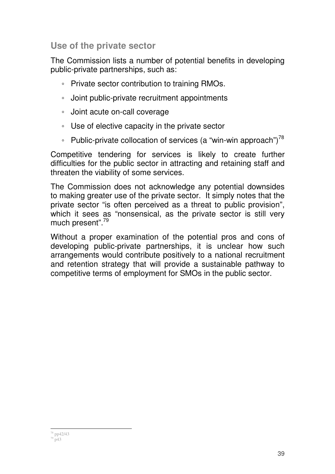### **Use of the private sector**

The Commission lists a number of potential benefits in developing public-private partnerships, such as:

- Private sector contribution to training RMOs.
- Joint public-private recruitment appointments
- Joint acute on-call coverage
- Use of elective capacity in the private sector
- Public-private collocation of services (a "win-win approach") $^{78}$

Competitive tendering for services is likely to create further difficulties for the public sector in attracting and retaining staff and threaten the viability of some services.

The Commission does not acknowledge any potential downsides to making greater use of the private sector. It simply notes that the private sector "is often perceived as a threat to public provision", which it sees as "nonsensical, as the private sector is still very much present".<sup>79</sup>

Without a proper examination of the potential pros and cons of developing public-private partnerships, it is unclear how such arrangements would contribute positively to a national recruitment and retention strategy that will provide a sustainable pathway to competitive terms of employment for SMOs in the public sector.

l <sup>78</sup> pp42/43  $79^{11}_{19}$  p43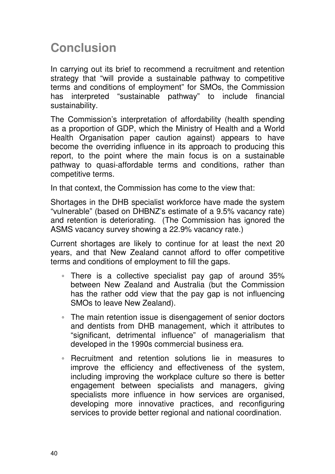### **Conclusion**

In carrying out its brief to recommend a recruitment and retention strategy that "will provide a sustainable pathway to competitive terms and conditions of employment" for SMOs, the Commission has interpreted "sustainable pathway" to include financial sustainability.

The Commission's interpretation of affordability (health spending as a proportion of GDP, which the Ministry of Health and a World Health Organisation paper caution against) appears to have become the overriding influence in its approach to producing this report, to the point where the main focus is on a sustainable pathway to quasi-affordable terms and conditions, rather than competitive terms.

In that context, the Commission has come to the view that:

Shortages in the DHB specialist workforce have made the system "vulnerable" (based on DHBNZ's estimate of a 9.5% vacancy rate) and retention is deteriorating. (The Commission has ignored the ASMS vacancy survey showing a 22.9% vacancy rate.)

Current shortages are likely to continue for at least the next 20 years, and that New Zealand cannot afford to offer competitive terms and conditions of employment to fill the gaps.

- There is a collective specialist pay gap of around 35% between New Zealand and Australia (but the Commission has the rather odd view that the pay gap is not influencing SMOs to leave New Zealand).
- The main retention issue is disengagement of senior doctors and dentists from DHB management, which it attributes to "significant, detrimental influence" of managerialism that developed in the 1990s commercial business era.
- Recruitment and retention solutions lie in measures to improve the efficiency and effectiveness of the system, including improving the workplace culture so there is better engagement between specialists and managers, giving specialists more influence in how services are organised, developing more innovative practices, and reconfiguring services to provide better regional and national coordination.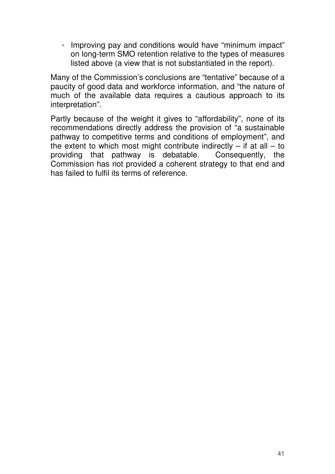◦ Improving pay and conditions would have "minimum impact" on long-term SMO retention relative to the types of measures listed above (a view that is not substantiated in the report).

Many of the Commission's conclusions are "tentative" because of a paucity of good data and workforce information, and "the nature of much of the available data requires a cautious approach to its interpretation".

Partly because of the weight it gives to "affordability", none of its recommendations directly address the provision of "a sustainable pathway to competitive terms and conditions of employment", and the extent to which most might contribute indirectly  $-$  if at all  $-$  to providing that pathway is debatable. Consequently, the Commission has not provided a coherent strategy to that end and has failed to fulfil its terms of reference.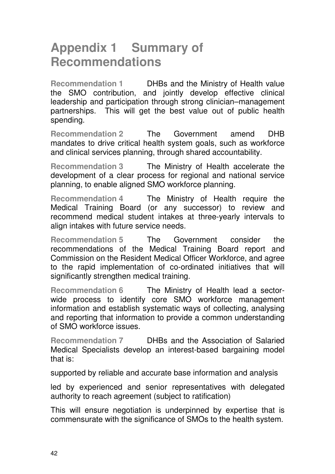### **Appendix 1 Summary of Recommendations**

**Recommendation 1** DHBs and the Ministry of Health value the SMO contribution, and jointly develop effective clinical leadership and participation through strong clinician–management partnerships. This will get the best value out of public health spending.

**Recommendation 2** The Government amend DHB mandates to drive critical health system goals, such as workforce and clinical services planning, through shared accountability.

**Recommendation 3** The Ministry of Health accelerate the development of a clear process for regional and national service planning, to enable aligned SMO workforce planning.

**Recommendation 4** The Ministry of Health require the Medical Training Board (or any successor) to review and recommend medical student intakes at three-yearly intervals to align intakes with future service needs.

**Recommendation 5** The Government consider the recommendations of the Medical Training Board report and Commission on the Resident Medical Officer Workforce, and agree to the rapid implementation of co-ordinated initiatives that will significantly strengthen medical training.

**Recommendation 6** The Ministry of Health lead a sectorwide process to identify core SMO workforce management information and establish systematic ways of collecting, analysing and reporting that information to provide a common understanding of SMO workforce issues.

**Recommendation 7** DHBs and the Association of Salaried Medical Specialists develop an interest-based bargaining model that is:

supported by reliable and accurate base information and analysis

led by experienced and senior representatives with delegated authority to reach agreement (subject to ratification)

This will ensure negotiation is underpinned by expertise that is commensurate with the significance of SMOs to the health system.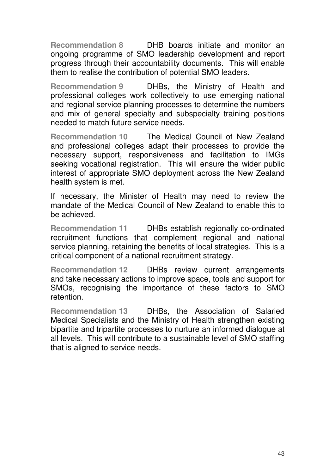**Recommendation 8** DHB boards initiate and monitor an ongoing programme of SMO leadership development and report progress through their accountability documents. This will enable them to realise the contribution of potential SMO leaders.

**Recommendation 9** DHBs, the Ministry of Health and professional colleges work collectively to use emerging national and regional service planning processes to determine the numbers and mix of general specialty and subspecialty training positions needed to match future service needs.

**Recommendation 10** The Medical Council of New Zealand and professional colleges adapt their processes to provide the necessary support, responsiveness and facilitation to IMGs seeking vocational registration. This will ensure the wider public interest of appropriate SMO deployment across the New Zealand health system is met.

If necessary, the Minister of Health may need to review the mandate of the Medical Council of New Zealand to enable this to be achieved.

**Recommendation 11** DHBs establish regionally co-ordinated recruitment functions that complement regional and national service planning, retaining the benefits of local strategies. This is a critical component of a national recruitment strategy.

**Recommendation 12** DHBs review current arrangements and take necessary actions to improve space, tools and support for SMOs, recognising the importance of these factors to SMO retention.

**Recommendation 13** DHBs, the Association of Salaried Medical Specialists and the Ministry of Health strengthen existing bipartite and tripartite processes to nurture an informed dialogue at all levels. This will contribute to a sustainable level of SMO staffing that is aligned to service needs.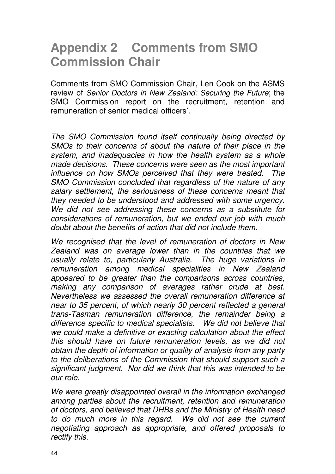# **Appendix 2 Comments from SMO Commission Chair**

Comments from SMO Commission Chair, Len Cook on the ASMS review of Senior Doctors in New Zealand: Securing the Future; the SMO Commission report on the recruitment, retention and remuneration of senior medical officers'.

The SMO Commission found itself continually being directed by SMOs to their concerns of about the nature of their place in the system, and inadequacies in how the health system as a whole made decisions. These concerns were seen as the most important influence on how SMOs perceived that they were treated. The SMO Commission concluded that regardless of the nature of any salary settlement, the seriousness of these concerns meant that they needed to be understood and addressed with some urgency. We did not see addressing these concerns as a substitute for considerations of remuneration, but we ended our job with much doubt about the benefits of action that did not include them.

We recognised that the level of remuneration of doctors in New Zealand was on average lower than in the countries that we usually relate to, particularly Australia. The huge variations in remuneration among medical specialities in New Zealand appeared to be greater than the comparisons across countries, making any comparison of averages rather crude at best. Nevertheless we assessed the overall remuneration difference at near to 35 percent, of which nearly 30 percent reflected a general trans-Tasman remuneration difference, the remainder being a difference specific to medical specialists. We did not believe that we could make a definitive or exacting calculation about the effect this should have on future remuneration levels, as we did not obtain the depth of information or quality of analysis from any party to the deliberations of the Commission that should support such a significant judgment. Nor did we think that this was intended to be our role.

We were greatly disappointed overall in the information exchanged among parties about the recruitment, retention and remuneration of doctors, and believed that DHBs and the Ministry of Health need to do much more in this regard. We did not see the current negotiating approach as appropriate, and offered proposals to rectify this.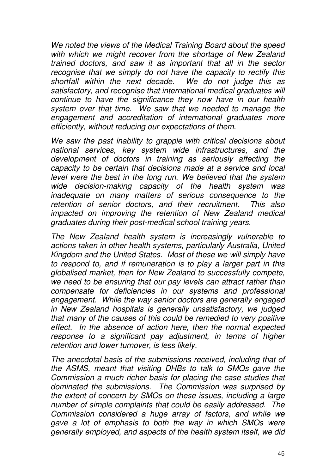We noted the views of the Medical Training Board about the speed with which we might recover from the shortage of New Zealand trained doctors, and saw it as important that all in the sector recognise that we simply do not have the capacity to rectify this shortfall within the next decade. We do not judge this as satisfactory, and recognise that international medical graduates will continue to have the significance they now have in our health system over that time. We saw that we needed to manage the engagement and accreditation of international graduates more efficiently, without reducing our expectations of them.

We saw the past inability to grapple with critical decisions about national services, key system wide infrastructures, and the development of doctors in training as seriously affecting the capacity to be certain that decisions made at a service and local level were the best in the long run. We believed that the system wide decision-making capacity of the health system was inadequate on many matters of serious consequence to the retention of senior doctors, and their recruitment. This also impacted on improving the retention of New Zealand medical graduates during their post-medical school training years.

The New Zealand health system is increasingly vulnerable to actions taken in other health systems, particularly Australia, United Kingdom and the United States. Most of these we will simply have to respond to, and if remuneration is to play a larger part in this globalised market, then for New Zealand to successfully compete, we need to be ensuring that our pay levels can attract rather than compensate for deficiencies in our systems and professional engagement. While the way senior doctors are generally engaged in New Zealand hospitals is generally unsatisfactory, we judged that many of the causes of this could be remedied to very positive effect. In the absence of action here, then the normal expected response to a significant pay adjustment, in terms of higher retention and lower turnover, is less likely.

The anecdotal basis of the submissions received, including that of the ASMS, meant that visiting DHBs to talk to SMOs gave the Commission a much richer basis for placing the case studies that dominated the submissions. The Commission was surprised by the extent of concern by SMOs on these issues, including a large number of simple complaints that could be easily addressed. The Commission considered a huge array of factors, and while we gave a lot of emphasis to both the way in which SMOs were generally employed, and aspects of the health system itself, we did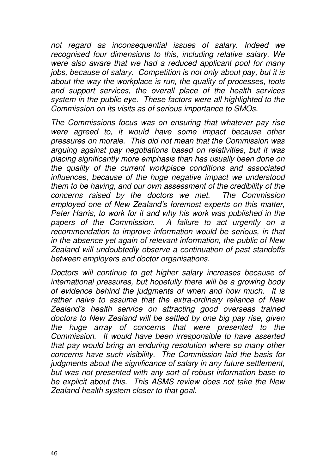not regard as inconsequential issues of salary. Indeed we recognised four dimensions to this, including relative salary. We were also aware that we had a reduced applicant pool for many jobs, because of salary. Competition is not only about pay, but it is about the way the workplace is run, the quality of processes, tools and support services, the overall place of the health services system in the public eye. These factors were all highlighted to the Commission on its visits as of serious importance to SMOs.

The Commissions focus was on ensuring that whatever pay rise were agreed to, it would have some impact because other pressures on morale. This did not mean that the Commission was arguing against pay negotiations based on relativities, but it was placing significantly more emphasis than has usually been done on the quality of the current workplace conditions and associated influences, because of the huge negative impact we understood them to be having, and our own assessment of the credibility of the concerns raised by the doctors we met. The Commission employed one of New Zealand's foremost experts on this matter, Peter Harris, to work for it and why his work was published in the papers of the Commission. A failure to act urgently on a recommendation to improve information would be serious, in that in the absence yet again of relevant information, the public of New Zealand will undoubtedly observe a continuation of past standoffs between employers and doctor organisations.

Doctors will continue to get higher salary increases because of international pressures, but hopefully there will be a growing body of evidence behind the judgments of when and how much. It is rather naive to assume that the extra-ordinary reliance of New Zealand's health service on attracting good overseas trained doctors to New Zealand will be settled by one big pay rise, given the huge array of concerns that were presented to the Commission. It would have been irresponsible to have asserted that pay would bring an enduring resolution where so many other concerns have such visibility. The Commission laid the basis for judaments about the significance of salary in any future settlement. but was not presented with any sort of robust information base to be explicit about this. This ASMS review does not take the New Zealand health system closer to that goal.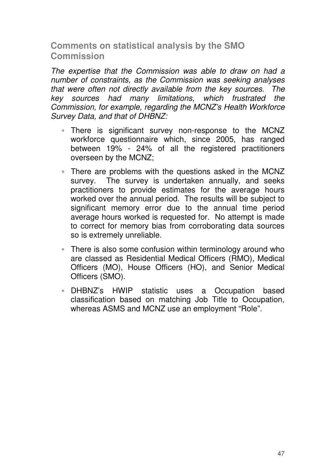### **Comments on statistical analysis by the SMO Commission**

The expertise that the Commission was able to draw on had a number of constraints, as the Commission was seeking analyses that were often not directly available from the key sources. The key sources had many limitations, which frustrated the Commission, for example, regarding the MCNZ's Health Workforce Survey Data, and that of DHBNZ:

- There is significant survey non-response to the MCNZ workforce questionnaire which, since 2005, has ranged between 19% - 24% of all the registered practitioners overseen by the MCNZ;
- There are problems with the questions asked in the MCNZ survey. The survey is undertaken annually, and seeks practitioners to provide estimates for the average hours worked over the annual period. The results will be subject to significant memory error due to the annual time period average hours worked is requested for. No attempt is made to correct for memory bias from corroborating data sources so is extremely unreliable.
- There is also some confusion within terminology around who are classed as Residential Medical Officers (RMO), Medical Officers (MO), House Officers (HO), and Senior Medical Officers (SMO).
- DHBNZ's HWIP statistic uses a Occupation based classification based on matching Job Title to Occupation, whereas ASMS and MCNZ use an employment "Role".